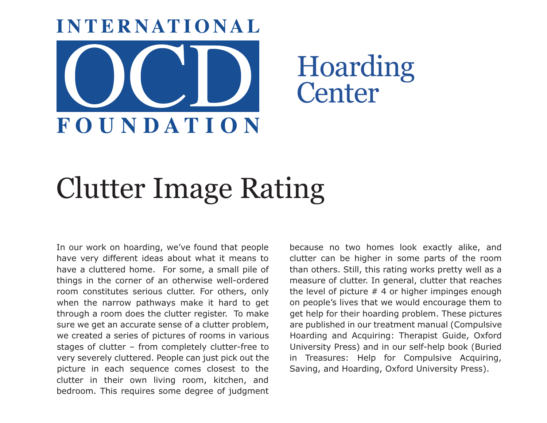

## Clutter Image Rating

In our work on hoarding, we've found that people have very different ideas about what it means to have a cluttered home. For some, a small pile of things in the corner of an otherwise well-ordered room constitutes serious clutter. For others, only when the narrow pathways make it hard to get through a room does the clutter register. To make sure we get an accurate sense of a clutter problem, we created a series of pictures of rooms in various stages of clutter – from completely clutter-free to very severely cluttered. People can just pick out the picture in each sequence comes closest to the clutter in their own living room, kitchen, and bedroom. This requires some degree of judgment

because no two homes look exactly alike, and clutter can be higher in some parts of the room than others. Still, this rating works pretty well as a measure of clutter. In general, clutter that reaches the level of picture  $# 4$  or higher impinges enough on people's lives that we would encourage them to get help for their hoarding problem. These pictures are published in our treatment manual (Compulsive Hoarding and Acquiring: Therapist Guide, Oxford University Press) and in our self-help book (Buried in Treasures: Help for Compulsive Acquiring, Saving, and Hoarding, Oxford University Press).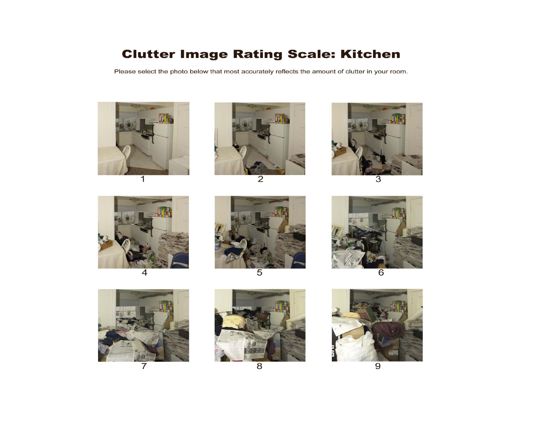## **Clutter Image Rating Scale: Kitchen**

Please select the photo below that most accurately reflects the amount of clutter in your room.





 $\overline{2}$ 



3













8

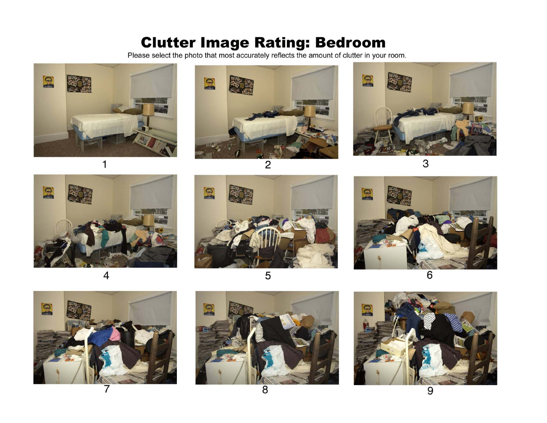## **Clutter Image Rating: Bedroom**<br>Please select the photo that most accurately reflects the amount of clutter in your room.